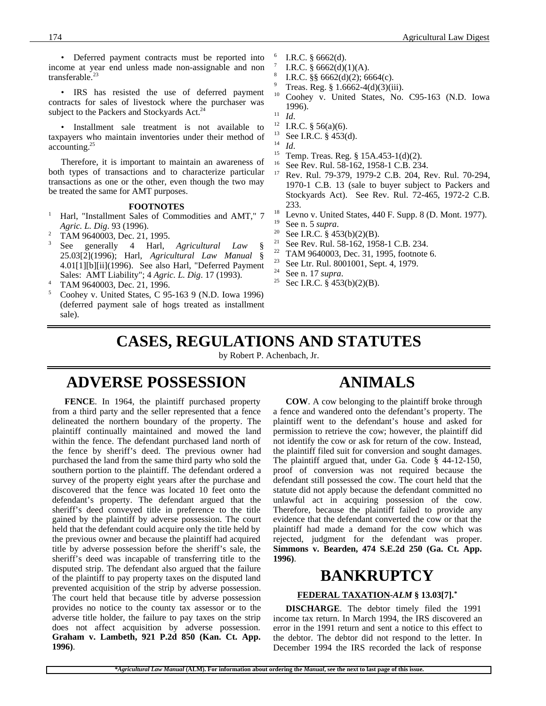• Deferred payment contracts must be reported into income at year end unless made non-assignable and non transferable.<sup>23</sup>

• IRS has resisted the use of deferred payment contracts for sales of livestock where the purchaser was subject to the Packers and Stockyards Act.<sup>24</sup>

• Installment sale treatment is not available to taxpayers who maintain inventories under their method of accounting.<sup>25</sup>

Therefore, it is important to maintain an awareness of both types of transactions and to characterize particular transactions as one or the other, even though the two may be treated the same for AMT purposes.

#### **FOOTNOTES**

- <sup>1</sup> Harl, "Installment Sales of Commodities and AMT," 7 *Agric. L. Dig*. 93 (1996).
- <sup>2</sup> TAM 9640003, Dec. 21, 1995.
- <sup>3</sup> See generally 4 Harl, *Agricultural Law* § 25.03[2](1996); Harl, *Agricultural Law Manual* § 4.01[1][b][ii](1996). See also Harl, "Deferred Payment Sales: AMT Liability"; 4 *Agric. L. Dig*. 17 (1993).
- <sup>4</sup> TAM 9640003, Dec. 21, 1996.
- <sup>5</sup> Coohey v. United States, C 95-163 9 (N.D. Iowa 1996) (deferred payment sale of hogs treated as installment sale).
- 6 I.R.C. § 6662(d).
- 7 I.R.C.  $§$  6662(d)(1)(A).
- 8 I.R.C. §§ 6662(d)(2); 6664(c).
- <sup>9</sup> Treas. Reg. § 1.6662-4(d)(3)(iii).
- <sup>10</sup> Coohey v. United States, No. C95-163 (N.D. Iowa 1996).
- $\frac{11}{12}$  *Id*.
- <sup>12</sup> I.R.C. § 56(a)(6).<br><sup>13</sup> See J.P.C. § 453(
- <sup>13</sup> See I.R.C. § 453(d).
- $\frac{14}{15}$  *Id.*
- <sup>15</sup> Temp. Treas. Reg. § 15A.453-1(d)(2).<br><sup>16</sup> See Pey, Pul. 58, 162, 1058, 1 C B, 23/
- <sup>16</sup> See Rev. Rul. 58-162, 1958-1 C.B. 234. <sup>17</sup> Rev. Rul. 79-379, 1979-2 C.B. 204, Rev. Rul. 70-294, 1970-1 C.B. 13 (sale to buyer subject to Packers and Stockyards Act). See Rev. Rul. 72-465, 1972-2 C.B. 233.
- <sup>18</sup> Levno v. United States, 440 F. Supp. 8 (D. Mont. 1977).
- <sup>19</sup> See n. 5 *supra*.
- <sup>20</sup> See I.R.C. § 453(b)(2)(B).<br><sup>21</sup> See Pay Pul 58, 162, 105
- See Rev. Rul. 58-162, 1958-1 C.B. 234.
- <sup>22</sup> TAM 9640003, Dec. 31, 1995, footnote 6.<br><sup>23</sup> See Ltr, Bul, 8001001, Sept. 4, 1970.
- <sup>23</sup> See Ltr. Rul. 8001001, Sept. 4, 1979.
- <sup>24</sup> See n. 17 *supra*.<br><sup>25</sup> Sec LR C 8 453
- Sec I.R.C. § 453(b)(2)(B).

## **CASES, REGULATIONS AND STATUTES**

by Robert P. Achenbach, Jr.

## **ADVERSE POSSESSION**

**FENCE**. In 1964, the plaintiff purchased property from a third party and the seller represented that a fence delineated the northern boundary of the property. The plaintiff continually maintained and mowed the land within the fence. The defendant purchased land north of the fence by sheriff's deed. The previous owner had purchased the land from the same third party who sold the southern portion to the plaintiff. The defendant ordered a survey of the property eight years after the purchase and discovered that the fence was located 10 feet onto the defendant's property. The defendant argued that the sheriff's deed conveyed title in preference to the title gained by the plaintiff by adverse possession. The court held that the defendant could acquire only the title held by the previous owner and because the plaintiff had acquired title by adverse possession before the sheriff's sale, the sheriff's deed was incapable of transferring title to the disputed strip. The defendant also argued that the failure of the plaintiff to pay property taxes on the disputed land prevented acquisition of the strip by adverse possession. The court held that because title by adverse possession provides no notice to the county tax assessor or to the adverse title holder, the failure to pay taxes on the strip does not affect acquisition by adverse possession. **Graham v. Lambeth, 921 P.2d 850 (Kan. Ct. App. 1996)**.

## **ANIMALS**

**COW**. A cow belonging to the plaintiff broke through a fence and wandered onto the defendant's property. The plaintiff went to the defendant's house and asked for permission to retrieve the cow; however, the plaintiff did not identify the cow or ask for return of the cow. Instead, the plaintiff filed suit for conversion and sought damages. The plaintiff argued that, under Ga. Code § 44-12-150, proof of conversion was not required because the defendant still possessed the cow. The court held that the statute did not apply because the defendant committed no unlawful act in acquiring possession of the cow. Therefore, because the plaintiff failed to provide any evidence that the defendant converted the cow or that the plaintiff had made a demand for the cow which was rejected, judgment for the defendant was proper. **Simmons v. Bearden, 474 S.E.2d 250 (Ga. Ct. App. 1996)**.

### **BANKRUPTCY**

#### **FEDERAL TAXATION -***ALM* **§ 13.03[7].\***

**DISCHARGE**. The debtor timely filed the 1991 income tax return. In March 1994, the IRS discovered an error in the 1991 return and sent a notice to this effect to the debtor. The debtor did not respond to the letter. In December 1994 the IRS recorded the lack of response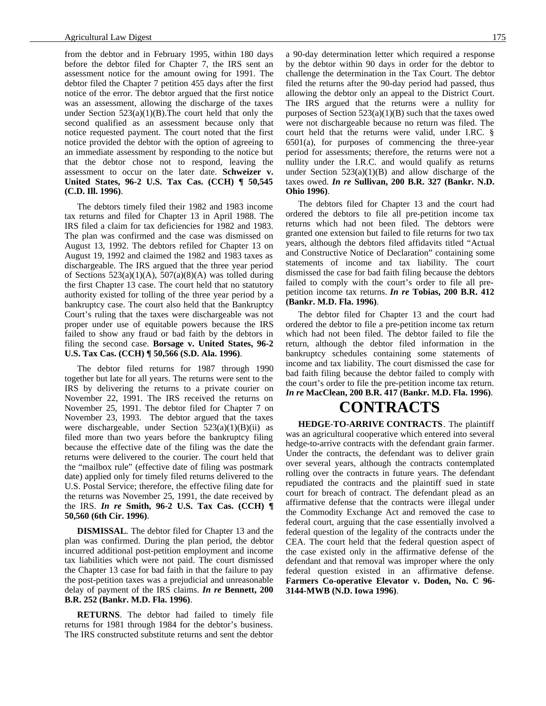from the debtor and in February 1995, within 180 days before the debtor filed for Chapter 7, the IRS sent an assessment notice for the amount owing for 1991. The debtor filed the Chapter 7 petition 455 days after the first notice of the error. The debtor argued that the first notice was an assessment, allowing the discharge of the taxes under Section  $523(a)(1)(B)$ . The court held that only the second qualified as an assessment because only that notice requested payment. The court noted that the first notice provided the debtor with the option of agreeing to an immediate assessment by responding to the notice but that the debtor chose not to respond, leaving the assessment to occur on the later date. **Schweizer v. United States, 96-2 U.S. Tax Cas. (CCH) ¶ 50,545 (C.D. Ill. 1996)**.

The debtors timely filed their 1982 and 1983 income tax returns and filed for Chapter 13 in April 1988. The IRS filed a claim for tax deficiencies for 1982 and 1983. The plan was confirmed and the case was dismissed on August 13, 1992. The debtors refiled for Chapter 13 on August 19, 1992 and claimed the 1982 and 1983 taxes as dischargeable. The IRS argued that the three year period of Sections  $523(a)(1)(A)$ ,  $507(a)(8)(A)$  was tolled during the first Chapter 13 case. The court held that no statutory authority existed for tolling of the three year period by a bankruptcy case. The court also held that the Bankruptcy Court's ruling that the taxes were dischargeable was not proper under use of equitable powers because the IRS failed to show any fraud or bad faith by the debtors in filing the second case. **Borsage v. United States, 96-2 U.S. Tax Cas. (CCH) ¶ 50,566 (S.D. Ala. 1996)**.

The debtor filed returns for 1987 through 1990 together but late for all years. The returns were sent to the IRS by delivering the returns to a private courier on November 22, 1991. The IRS received the returns on November 25, 1991. The debtor filed for Chapter 7 on November 23, 1993. The debtor argued that the taxes were dischargeable, under Section  $523(a)(1)(B)(ii)$  as filed more than two years before the bankruptcy filing because the effective date of the filing was the date the returns were delivered to the courier. The court held that the "mailbox rule" (effective date of filing was postmark date) applied only for timely filed returns delivered to the U.S. Postal Service; therefore, the effective filing date for the returns was November 25, 1991, the date received by the IRS. *In re* **Smith, 96-2 U.S. Tax Cas. (CCH) ¶ 50,560 (6th Cir. 1996)**.

**DISMISSAL**. The debtor filed for Chapter 13 and the plan was confirmed. During the plan period, the debtor incurred additional post-petition employment and income tax liabilities which were not paid. The court dismissed the Chapter 13 case for bad faith in that the failure to pay the post-petition taxes was a prejudicial and unreasonable delay of payment of the IRS claims. *In re* **Bennett, 200 B.R. 252 (Bankr. M.D. Fla. 1996)**.

**RETURNS**. The debtor had failed to timely file returns for 1981 through 1984 for the debtor's business. The IRS constructed substitute returns and sent the debtor

a 90-day determination letter which required a response by the debtor within 90 days in order for the debtor to challenge the determination in the Tax Court. The debtor filed the returns after the 90-day period had passed, thus allowing the debtor only an appeal to the District Court. The IRS argued that the returns were a nullity for purposes of Section  $523(a)(1)(B)$  such that the taxes owed were not dischargeable because no return was filed. The court held that the returns were valid, under I.RC. § 6501(a), for purposes of commencing the three-year period for assessments; therefore, the returns were not a nullity under the I.R.C. and would qualify as returns under Section  $523(a)(1)(B)$  and allow discharge of the taxes owed. *In re* **Sullivan, 200 B.R. 327 (Bankr. N.D. Ohio 1996)**.

The debtors filed for Chapter 13 and the court had ordered the debtors to file all pre-petition income tax returns which had not been filed. The debtors were granted one extension but failed to file returns for two tax years, although the debtors filed affidavits titled "Actual and Constructive Notice of Declaration" containing some statements of income and tax liability. The court dismissed the case for bad faith filing because the debtors failed to comply with the court's order to file all prepetition income tax returns. *In re* **Tobias, 200 B.R. 412 (Bankr. M.D. Fla. 1996)**.

The debtor filed for Chapter 13 and the court had ordered the debtor to file a pre-petition income tax return which had not been filed. The debtor failed to file the return, although the debtor filed information in the bankruptcy schedules containing some statements of income and tax liability. The court dismissed the case for bad faith filing because the debtor failed to comply with the court's order to file the pre-petition income tax return. *In re* **MacClean, 200 B.R. 417 (Bankr. M.D. Fla. 1996)**.

# **CONTRACTS**

**HEDGE-TO-ARRIVE CONTRACTS**. The plaintiff was an agricultural cooperative which entered into several hedge-to-arrive contracts with the defendant grain farmer. Under the contracts, the defendant was to deliver grain over several years, although the contracts contemplated rolling over the contracts in future years. The defendant repudiated the contracts and the plaintiff sued in state court for breach of contract. The defendant plead as an affirmative defense that the contracts were illegal under the Commodity Exchange Act and removed the case to federal court, arguing that the case essentially involved a federal question of the legality of the contracts under the CEA. The court held that the federal question aspect of the case existed only in the affirmative defense of the defendant and that removal was improper where the only federal question existed in an affirmative defense. **Farmers Co-operative Elevator v. Doden, No. C 96- 3144-MWB (N.D. Iowa 1996)**.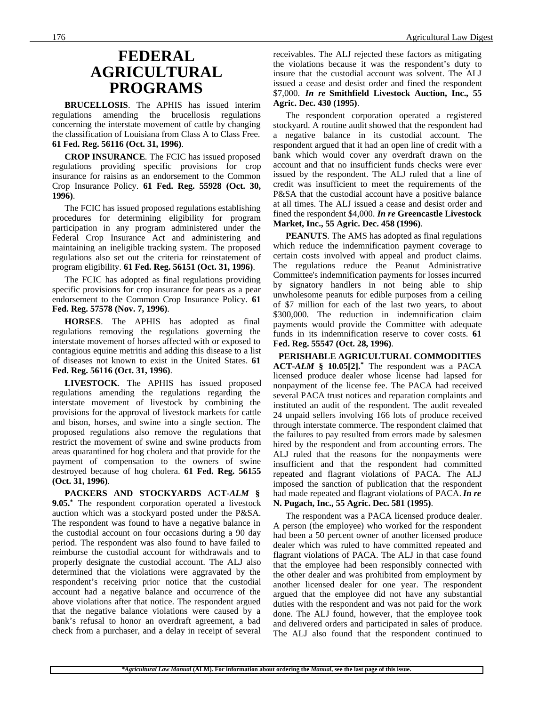## **FEDERAL AGRICULTURAL PROGRAMS**

**BRUCELLOSIS**. The APHIS has issued interim regulations amending the brucellosis regulations concerning the interstate movement of cattle by changing the classification of Louisiana from Class A to Class Free. **61 Fed. Reg. 56116 (Oct. 31, 1996)**.

**CROP INSURANCE**. The FCIC has issued proposed regulations providing specific provisions for crop insurance for raisins as an endorsement to the Common Crop Insurance Policy. **61 Fed. Reg. 55928 (Oct. 30, 1996)**.

The FCIC has issued proposed regulations establishing procedures for determining eligibility for program participation in any program administered under the Federal Crop Insurance Act and administering and maintaining an ineligible tracking system. The proposed regulations also set out the criteria for reinstatement of program eligibility. **61 Fed. Reg. 56151 (Oct. 31, 1996)**.

The FCIC has adopted as final regulations providing specific provisions for crop insurance for pears as a pear endorsement to the Common Crop Insurance Policy. **61 Fed. Reg. 57578 (Nov. 7, 1996)**.

**HORSES**. The APHIS has adopted as final regulations removing the regulations governing the interstate movement of horses affected with or exposed to contagious equine metritis and adding this disease to a list of diseases not known to exist in the United States. **61 Fed. Reg. 56116 (Oct. 31, 1996)**.

**LIVESTOCK**. The APHIS has issued proposed regulations amending the regulations regarding the interstate movement of livestock by combining the provisions for the approval of livestock markets for cattle and bison, horses, and swine into a single section. The proposed regulations also remove the regulations that restrict the movement of swine and swine products from areas quarantined for hog cholera and that provide for the payment of compensation to the owners of swine destroyed because of hog cholera. **61 Fed. Reg. 56155 (Oct. 31, 1996)**.

**PACKERS AND STOCKYARDS ACT-***ALM* **§ 9.05.\*** The respondent corporation operated a livestock auction which was a stockyard posted under the P&SA. The respondent was found to have a negative balance in the custodial account on four occasions during a 90 day period. The respondent was also found to have failed to reimburse the custodial account for withdrawals and to properly designate the custodial account. The ALJ also determined that the violations were aggravated by the respondent's receiving prior notice that the custodial account had a negative balance and occurrence of the above violations after that notice. The respondent argued that the negative balance violations were caused by a bank's refusal to honor an overdraft agreement, a bad check from a purchaser, and a delay in receipt of several

receivables. The ALJ rejected these factors as mitigating the violations because it was the respondent's duty to insure that the custodial account was solvent. The ALJ issued a cease and desist order and fined the respondent \$7,000. *In re* **Smithfield Livestock Auction, Inc., 55 Agric. Dec. 430 (1995)**.

The respondent corporation operated a registered stockyard. A routine audit showed that the respondent had a negative balance in its custodial account. The respondent argued that it had an open line of credit with a bank which would cover any overdraft drawn on the account and that no insufficient funds checks were ever issued by the respondent. The ALJ ruled that a line of credit was insufficient to meet the requirements of the P&SA that the custodial account have a positive balance at all times. The ALJ issued a cease and desist order and fined the respondent \$4,000. *In re* **Greencastle Livestock Market, Inc., 55 Agric. Dec. 458 (1996)**.

**PEANUTS**. The AMS has adopted as final regulations which reduce the indemnification payment coverage to certain costs involved with appeal and product claims. The regulations reduce the Peanut Administrative Committee's indemnification payments for losses incurred by signatory handlers in not being able to ship unwholesome peanuts for edible purposes from a ceiling of \$7 million for each of the last two years, to about \$300,000. The reduction in indemnification claim payments would provide the Committee with adequate funds in its indemnification reserve to cover costs. **61 Fed. Reg. 55547 (Oct. 28, 1996)**.

 **PERISHABLE AGRICULTURAL COMMODITIES ACT-***ALM* **§ 10.05[2].\*** The respondent was a PACA licensed produce dealer whose license had lapsed for nonpayment of the license fee. The PACA had received several PACA trust notices and reparation complaints and instituted an audit of the respondent. The audit revealed 24 unpaid sellers involving 166 lots of produce received through interstate commerce. The respondent claimed that the failures to pay resulted from errors made by salesmen hired by the respondent and from accounting errors. The ALJ ruled that the reasons for the nonpayments were insufficient and that the respondent had committed repeated and flagrant violations of PACA. The ALJ imposed the sanction of publication that the respondent had made repeated and flagrant violations of PACA. *In re* **N. Pugach, Inc., 55 Agric. Dec. 581 (1995)**.

The respondent was a PACA licensed produce dealer. A person (the employee) who worked for the respondent had been a 50 percent owner of another licensed produce dealer which was ruled to have committed repeated and flagrant violations of PACA. The ALJ in that case found that the employee had been responsibly connected with the other dealer and was prohibited from employment by another licensed dealer for one year. The respondent argued that the employee did not have any substantial duties with the respondent and was not paid for the work done. The ALJ found, however, that the employee took and delivered orders and participated in sales of produce. The ALJ also found that the respondent continued to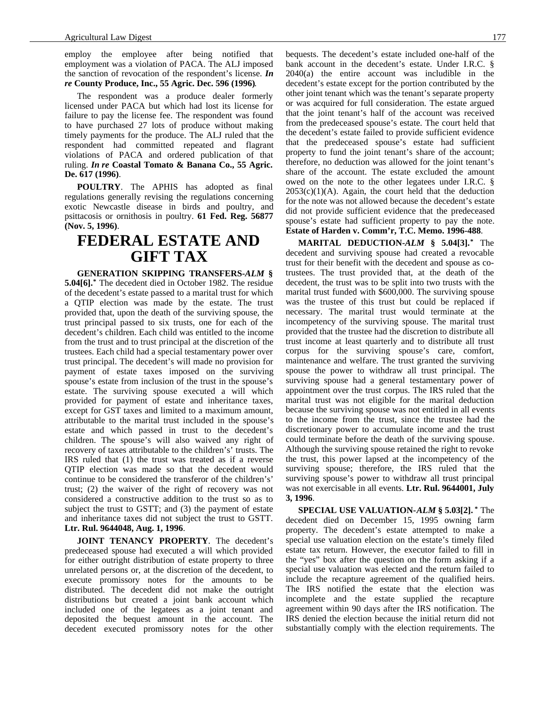employ the employee after being notified that employment was a violation of PACA. The ALJ imposed the sanction of revocation of the respondent's license. *In re* **County Produce, Inc., 55 Agric. Dec. 596 (1996)**.

The respondent was a produce dealer formerly licensed under PACA but which had lost its license for failure to pay the license fee. The respondent was found to have purchased 27 lots of produce without making timely payments for the produce. The ALJ ruled that the respondent had committed repeated and flagrant violations of PACA and ordered publication of that ruling. *In re* **Coastal Tomato & Banana Co., 55 Agric. De. 617 (1996)**.

**POULTRY**. The APHIS has adopted as final regulations generally revising the regulations concerning exotic Newcastle disease in birds and poultry, and psittacosis or ornithosis in poultry. **61 Fed. Reg. 56877 (Nov. 5, 1996)**.

### **FEDERAL ESTATE AND GIFT TAX**

**GENERATION SKIPPING TRANSFERS-***ALM* **§ 5.04[6].\*** The decedent died in October 1982. The residue of the decedent's estate passed to a marital trust for which a QTIP election was made by the estate. The trust provided that, upon the death of the surviving spouse, the trust principal passed to six trusts, one for each of the decedent's children. Each child was entitled to the income from the trust and to trust principal at the discretion of the trustees. Each child had a special testamentary power over trust principal. The decedent's will made no provision for payment of estate taxes imposed on the surviving spouse's estate from inclusion of the trust in the spouse's estate. The surviving spouse executed a will which provided for payment of estate and inheritance taxes, except for GST taxes and limited to a maximum amount, attributable to the marital trust included in the spouse's estate and which passed in trust to the decedent's children. The spouse's will also waived any right of recovery of taxes attributable to the children's' trusts. The IRS ruled that (1) the trust was treated as if a reverse QTIP election was made so that the decedent would continue to be considered the transferor of the children's' trust; (2) the waiver of the right of recovery was not considered a constructive addition to the trust so as to subject the trust to GSTT; and (3) the payment of estate and inheritance taxes did not subject the trust to GSTT. **Ltr. Rul. 9644048, Aug. 1, 1996**.

**JOINT TENANCY PROPERTY**. The decedent's predeceased spouse had executed a will which provided for either outright distribution of estate property to three unrelated persons or, at the discretion of the decedent, to execute promissory notes for the amounts to be distributed. The decedent did not make the outright distributions but created a joint bank account which included one of the legatees as a joint tenant and deposited the bequest amount in the account. The decedent executed promissory notes for the other

bequests. The decedent's estate included one-half of the bank account in the decedent's estate. Under I.R.C. § 2040(a) the entire account was includible in the decedent's estate except for the portion contributed by the other joint tenant which was the tenant's separate property or was acquired for full consideration. The estate argued that the joint tenant's half of the account was received from the predeceased spouse's estate. The court held that the decedent's estate failed to provide sufficient evidence that the predeceased spouse's estate had sufficient property to fund the joint tenant's share of the account; therefore, no deduction was allowed for the joint tenant's share of the account. The estate excluded the amount owed on the note to the other legatees under I.R.C. §  $2053(c)(1)(A)$ . Again, the court held that the deduction for the note was not allowed because the decedent's estate did not provide sufficient evidence that the predeceased spouse's estate had sufficient property to pay the note. **Estate of Harden v. Comm'r, T.C. Memo. 1996-488**.

**MARITAL DEDUCTION-***ALM* **§ 5.04[3].\*** The decedent and surviving spouse had created a revocable trust for their benefit with the decedent and spouse as cotrustees. The trust provided that, at the death of the decedent, the trust was to be split into two trusts with the marital trust funded with \$600,000. The surviving spouse was the trustee of this trust but could be replaced if necessary. The marital trust would terminate at the incompetency of the surviving spouse. The marital trust provided that the trustee had the discretion to distribute all trust income at least quarterly and to distribute all trust corpus for the surviving spouse's care, comfort, maintenance and welfare. The trust granted the surviving spouse the power to withdraw all trust principal. The surviving spouse had a general testamentary power of appointment over the trust corpus. The IRS ruled that the marital trust was not eligible for the marital deduction because the surviving spouse was not entitled in all events to the income from the trust, since the trustee had the discretionary power to accumulate income and the trust could terminate before the death of the surviving spouse. Although the surviving spouse retained the right to revoke the trust, this power lapsed at the incompetency of the surviving spouse; therefore, the IRS ruled that the surviving spouse's power to withdraw all trust principal was not exercisable in all events. **Ltr. Rul. 9644001, July 3, 1996**.

**SPECIAL USE VALUATION-***ALM* **§ 5.03[2]. \*** The decedent died on December 15, 1995 owning farm property. The decedent's estate attempted to make a special use valuation election on the estate's timely filed estate tax return. However, the executor failed to fill in the "yes" box after the question on the form asking if a special use valuation was elected and the return failed to include the recapture agreement of the qualified heirs. The IRS notified the estate that the election was incomplete and the estate supplied the recapture agreement within 90 days after the IRS notification. The IRS denied the election because the initial return did not substantially comply with the election requirements. The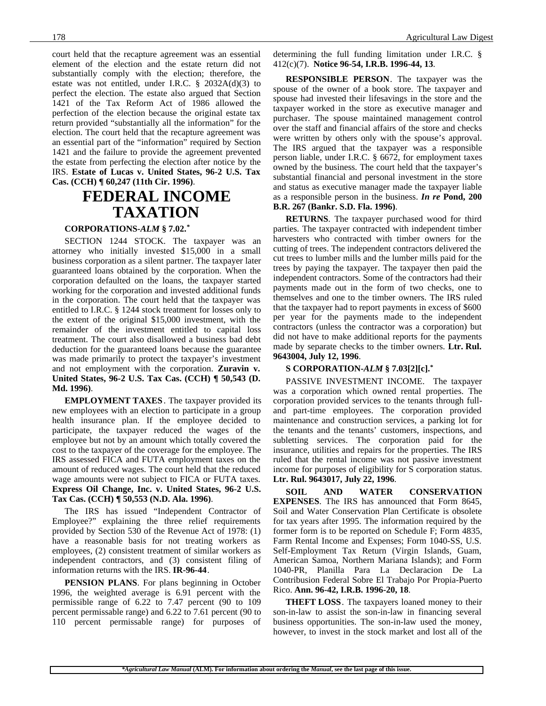court held that the recapture agreement was an essential element of the election and the estate return did not substantially comply with the election; therefore, the estate was not entitled, under I.R.C. § 2032A(d)(3) to perfect the election. The estate also argued that Section 1421 of the Tax Reform Act of 1986 allowed the perfection of the election because the original estate tax return provided "substantially all the information" for the election. The court held that the recapture agreement was an essential part of the "information" required by Section 1421 and the failure to provide the agreement prevented the estate from perfecting the election after notice by the IRS. **Estate of Lucas v. United States, 96-2 U.S. Tax Cas. (CCH) ¶ 60,247 (11th Cir. 1996)**.

### **FEDERAL INCOME TAXATION**

#### **CORPORATIONS-***ALM* **§ 7.02.\***

SECTION 1244 STOCK. The taxpayer was an attorney who initially invested \$15,000 in a small business corporation as a silent partner. The taxpayer later guaranteed loans obtained by the corporation. When the corporation defaulted on the loans, the taxpayer started working for the corporation and invested additional funds in the corporation. The court held that the taxpayer was entitled to I.R.C. § 1244 stock treatment for losses only to the extent of the original \$15,000 investment, with the remainder of the investment entitled to capital loss treatment. The court also disallowed a business bad debt deduction for the guaranteed loans because the guarantee was made primarily to protect the taxpayer's investment and not employment with the corporation. **Zuravin v. United States, 96-2 U.S. Tax Cas. (CCH) ¶ 50,543 (D. Md. 1996)**.

**EMPLOYMENT TAXES**. The taxpayer provided its new employees with an election to participate in a group health insurance plan. If the employee decided to participate, the taxpayer reduced the wages of the employee but not by an amount which totally covered the cost to the taxpayer of the coverage for the employee. The IRS assessed FICA and FUTA employment taxes on the amount of reduced wages. The court held that the reduced wage amounts were not subject to FICA or FUTA taxes. **Express Oil Change, Inc. v. United States, 96-2 U.S. Tax Cas. (CCH) ¶ 50,553 (N.D. Ala. 1996)**.

The IRS has issued "Independent Contractor of Employee?" explaining the three relief requirements provided by Section 530 of the Revenue Act of 1978: (1) have a reasonable basis for not treating workers as employees, (2) consistent treatment of similar workers as independent contractors, and (3) consistent filing of information returns with the IRS. **IR-96-44**.

**PENSION PLANS**. For plans beginning in October 1996, the weighted average is 6.91 percent with the permissible range of 6.22 to 7.47 percent (90 to 109 percent permissable range) and 6.22 to 7.61 percent (90 to 110 percent permissable range) for purposes of

determining the full funding limitation under I.R.C. § 412(c)(7). **Notice 96-54, I.R.B. 1996-44, 13**.

**RESPONSIBLE PERSON**. The taxpayer was the spouse of the owner of a book store. The taxpayer and spouse had invested their lifesavings in the store and the taxpayer worked in the store as executive manager and purchaser. The spouse maintained management control over the staff and financial affairs of the store and checks were written by others only with the spouse's approval. The IRS argued that the taxpayer was a responsible person liable, under I.R.C. § 6672, for employment taxes owned by the business. The court held that the taxpayer's substantial financial and personal investment in the store and status as executive manager made the taxpayer liable as a responsible person in the business. *In re* **Pond, 200 B.R. 267 (Bankr. S.D. Fla. 1996)**.

**RETURNS**. The taxpayer purchased wood for third parties. The taxpayer contracted with independent timber harvesters who contracted with timber owners for the cutting of trees. The independent contractors delivered the cut trees to lumber mills and the lumber mills paid for the trees by paying the taxpayer. The taxpayer then paid the independent contractors. Some of the contractors had their payments made out in the form of two checks, one to themselves and one to the timber owners. The IRS ruled that the taxpayer had to report payments in excess of \$600 per year for the payments made to the independent contractors (unless the contractor was a corporation) but did not have to make additional reports for the payments made by separate checks to the timber owners. **Ltr. Rul. 9643004, July 12, 1996**.

#### **S CORPORATION-***ALM* **§ 7.03[2][c].\***

PASSIVE INVESTMENT INCOME. The taxpayer was a corporation which owned rental properties. The corporation provided services to the tenants through fulland part-time employees. The corporation provided maintenance and construction services, a parking lot for the tenants and the tenants' customers, inspections, and subletting services. The corporation paid for the insurance, utilities and repairs for the properties. The IRS ruled that the rental income was not passive investment income for purposes of eligibility for S corporation status. **Ltr. Rul. 9643017, July 22, 1996**.

**SOIL AND WATER CONSERVATION EXPENSES**. The IRS has announced that Form 8645, Soil and Water Conservation Plan Certificate is obsolete for tax years after 1995. The information required by the former form is to be reported on Schedule F; Form 4835, Farm Rental Income and Expenses; Form 1040-SS, U.S. Self-Employment Tax Return (Virgin Islands, Guam, American Samoa, Northern Mariana Islands); and Form 1040-PR, Planilla Para La Declaracion De La Contribusion Federal Sobre El Trabajo Por Propia-Puerto Rico. **Ann. 96-42, I.R.B. 1996-20, 18**.

**THEFT LOSS**. The taxpayers loaned money to their son-in-law to assist the son-in-law in financing several business opportunities. The son-in-law used the money, however, to invest in the stock market and lost all of the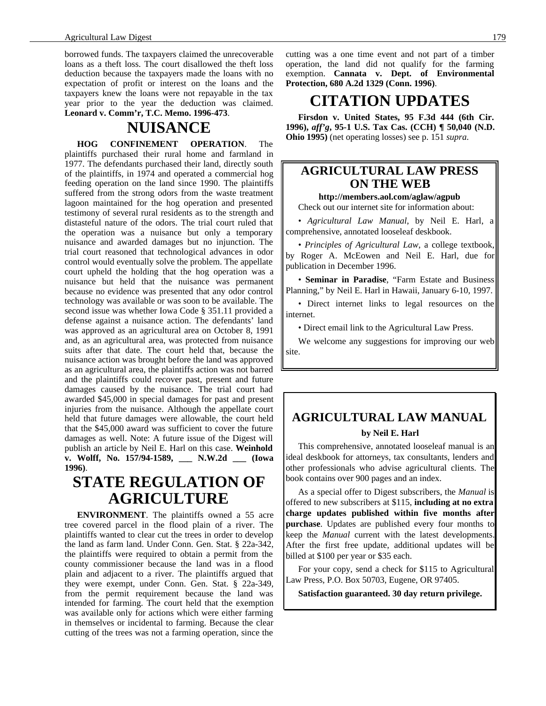borrowed funds. The taxpayers claimed the unrecoverable loans as a theft loss. The court disallowed the theft loss deduction because the taxpayers made the loans with no expectation of profit or interest on the loans and the taxpayers knew the loans were not repayable in the tax year prior to the year the deduction was claimed. **Leonard v. Comm'r, T.C. Memo. 1996-473**.

## **NUISANCE**

**HOG CONFINEMENT OPERATION**. The plaintiffs purchased their rural home and farmland in 1977. The defendants purchased their land, directly south of the plaintiffs, in 1974 and operated a commercial hog feeding operation on the land since 1990. The plaintiffs suffered from the strong odors from the waste treatment lagoon maintained for the hog operation and presented testimony of several rural residents as to the strength and distasteful nature of the odors. The trial court ruled that the operation was a nuisance but only a temporary nuisance and awarded damages but no injunction. The trial court reasoned that technological advances in odor control would eventually solve the problem. The appellate court upheld the holding that the hog operation was a nuisance but held that the nuisance was permanent because no evidence was presented that any odor control technology was available or was soon to be available. The second issue was whether Iowa Code § 351.11 provided a defense against a nuisance action. The defendants' land was approved as an agricultural area on October 8, 1991 and, as an agricultural area, was protected from nuisance suits after that date. The court held that, because the nuisance action was brought before the land was approved as an agricultural area, the plaintiffs action was not barred and the plaintiffs could recover past, present and future damages caused by the nuisance. The trial court had awarded \$45,000 in special damages for past and present injuries from the nuisance. Although the appellate court held that future damages were allowable, the court held that the \$45,000 award was sufficient to cover the future damages as well. Note: A future issue of the Digest will publish an article by Neil E. Harl on this case. **Weinhold v. Wolff, No. 157/94-1589, \_\_\_ N.W.2d \_\_\_ (Iowa 1996)**.

## **STATE REGULATION OF AGRICULTURE**

**ENVIRONMENT**. The plaintiffs owned a 55 acre tree covered parcel in the flood plain of a river. The plaintiffs wanted to clear cut the trees in order to develop the land as farm land. Under Conn. Gen. Stat. § 22a-342, the plaintiffs were required to obtain a permit from the county commissioner because the land was in a flood plain and adjacent to a river. The plaintiffs argued that they were exempt, under Conn. Gen. Stat. § 22a-349, from the permit requirement because the land was intended for farming. The court held that the exemption was available only for actions which were either farming in themselves or incidental to farming. Because the clear cutting of the trees was not a farming operation, since the

cutting was a one time event and not part of a timber operation, the land did not qualify for the farming exemption. **Cannata v. Dept. of Environmental Protection, 680 A.2d 1329 (Conn. 1996)**.

# **CITATION UPDATES**

**Firsdon v. United States, 95 F.3d 444 (6th Cir. 1996),** *aff'g***, 95-1 U.S. Tax Cas. (CCH) ¶ 50,040 (N.D. Ohio 1995)** (net operating losses) see p. 151 *supra*.

### **AGRICULTURAL LAW PRESS ON THE WEB**

**http://members.aol.com/aglaw/agpub**

Check out our internet site for information about:

• *Agricultural Law Manual*, by Neil E. Harl, a comprehensive, annotated looseleaf deskbook.

• *Principles of Agricultural Law*, a college textbook, by Roger A. McEowen and Neil E. Harl, due for publication in December 1996.

• **Seminar in Paradise**, "Farm Estate and Business Planning," by Neil E. Harl in Hawaii, January 6-10, 1997.

• Direct internet links to legal resources on the internet.

• Direct email link to the Agricultural Law Press.

We welcome any suggestions for improving our web site.

### **AGRICULTURAL LAW MANUAL by Neil E. Harl**

This comprehensive, annotated looseleaf manual is an ideal deskbook for attorneys, tax consultants, lenders and other professionals who advise agricultural clients. The book contains over 900 pages and an index.

As a special offer to Digest subscribers, the *Manual* is offered to new subscribers at \$115, **including at no extra charge updates published within five months after purchase**. Updates are published every four months to keep the *Manual* current with the latest developments. After the first free update, additional updates will be billed at \$100 per year or \$35 each.

For your copy, send a check for \$115 to Agricultural Law Press, P.O. Box 50703, Eugene, OR 97405.

**Satisfaction guaranteed. 30 day return privilege.**